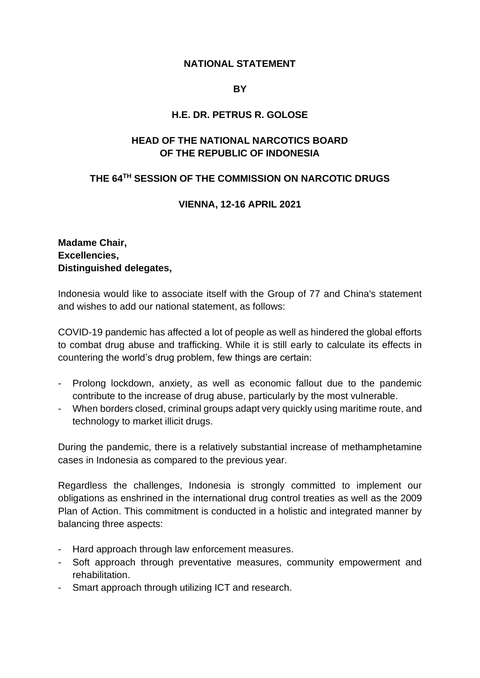### **NATIONAL STATEMENT**

#### **BY**

### **H.E. DR. PETRUS R. GOLOSE**

# **HEAD OF THE NATIONAL NARCOTICS BOARD OF THE REPUBLIC OF INDONESIA**

# **THE 64TH SESSION OF THE COMMISSION ON NARCOTIC DRUGS**

#### **VIENNA, 12-16 APRIL 2021**

## **Madame Chair, Excellencies, Distinguished delegates,**

Indonesia would like to associate itself with the Group of 77 and China's statement and wishes to add our national statement, as follows:

COVID-19 pandemic has affected a lot of people as well as hindered the global efforts to combat drug abuse and trafficking. While it is still early to calculate its effects in countering the world's drug problem, few things are certain:

- Prolong lockdown, anxiety, as well as economic fallout due to the pandemic contribute to the increase of drug abuse, particularly by the most vulnerable.
- When borders closed, criminal groups adapt very quickly using maritime route, and technology to market illicit drugs.

During the pandemic, there is a relatively substantial increase of methamphetamine cases in Indonesia as compared to the previous year.

Regardless the challenges, Indonesia is strongly committed to implement our obligations as enshrined in the international drug control treaties as well as the 2009 Plan of Action. This commitment is conducted in a holistic and integrated manner by balancing three aspects:

- Hard approach through law enforcement measures.
- Soft approach through preventative measures, community empowerment and rehabilitation.
- Smart approach through utilizing ICT and research.